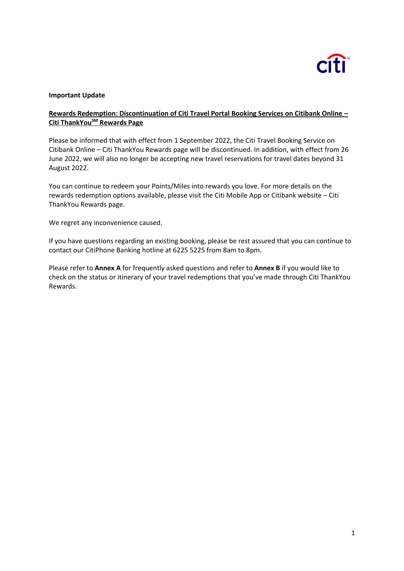

#### **Important Update**

### **Rewards Redemption: Discontinuation of Citi Travel Portal Booking Services on Citibank Online – Citi ThankYouSM Rewards Page**

Please be informed that with effect from 1 September 2022, the Citi Travel Booking Service on Citibank Online – Citi ThankYou Rewards page will be discontinued. In addition, with effect from 26 June 2022, we will also no longer be accepting new travel reservations for travel dates beyond 31 August 2022.

You can continue to redeem your Points/Miles into rewards you love. For more details on the rewards redemption options available, please visit the Citi Mobile App or Citibank website – Citi ThankYou Rewards page.

We regret any inconvenience caused.

If you have questions regarding an existing booking, please be rest assured that you can continue to contact our CitiPhone Banking hotline at 6225 5225 from 8am to 8pm.

Please refer to **Annex A** for frequently asked questions and refer to **Annex B** if you would like to check on the status or itinerary of your travel redemptions that you've made through Citi ThankYou Rewards.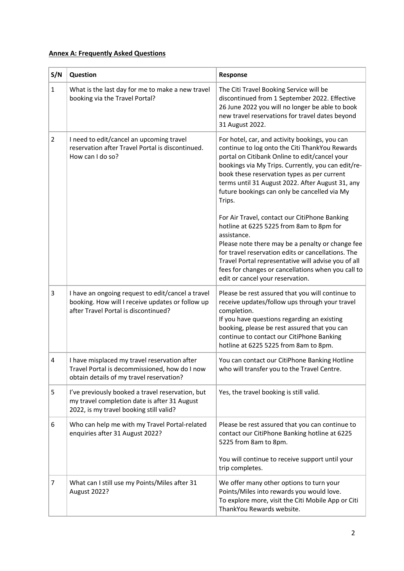## **Annex A: Frequently Asked Questions**

| S/N            | Question                                                                                                                                      | Response                                                                                                                                                                                                                                                                                                                                                             |
|----------------|-----------------------------------------------------------------------------------------------------------------------------------------------|----------------------------------------------------------------------------------------------------------------------------------------------------------------------------------------------------------------------------------------------------------------------------------------------------------------------------------------------------------------------|
| $\mathbf{1}$   | What is the last day for me to make a new travel<br>booking via the Travel Portal?                                                            | The Citi Travel Booking Service will be<br>discontinued from 1 September 2022. Effective<br>26 June 2022 you will no longer be able to book<br>new travel reservations for travel dates beyond<br>31 August 2022.                                                                                                                                                    |
| $\overline{2}$ | I need to edit/cancel an upcoming travel<br>reservation after Travel Portal is discontinued.<br>How can I do so?                              | For hotel, car, and activity bookings, you can<br>continue to log onto the Citi ThankYou Rewards<br>portal on Citibank Online to edit/cancel your<br>bookings via My Trips. Currently, you can edit/re-<br>book these reservation types as per current<br>terms until 31 August 2022. After August 31, any<br>future bookings can only be cancelled via My<br>Trips. |
|                |                                                                                                                                               | For Air Travel, contact our CitiPhone Banking<br>hotline at 6225 5225 from 8am to 8pm for<br>assistance.<br>Please note there may be a penalty or change fee<br>for travel reservation edits or cancellations. The<br>Travel Portal representative will advise you of all<br>fees for changes or cancellations when you call to<br>edit or cancel your reservation.  |
| 3              | I have an ongoing request to edit/cancel a travel<br>booking. How will I receive updates or follow up<br>after Travel Portal is discontinued? | Please be rest assured that you will continue to<br>receive updates/follow ups through your travel<br>completion.<br>If you have questions regarding an existing<br>booking, please be rest assured that you can<br>continue to contact our CitiPhone Banking<br>hotline at 6225 5225 from 8am to 8pm.                                                               |
| 4              | I have misplaced my travel reservation after<br>Travel Portal is decommissioned, how do I now<br>obtain details of my travel reservation?     | You can contact our CitiPhone Banking Hotline<br>who will transfer you to the Travel Centre                                                                                                                                                                                                                                                                          |
| 5              | I've previously booked a travel reservation, but<br>my travel completion date is after 31 August<br>2022, is my travel booking still valid?   | Yes, the travel booking is still valid.                                                                                                                                                                                                                                                                                                                              |
| 6              | Who can help me with my Travel Portal-related<br>enquiries after 31 August 2022?                                                              | Please be rest assured that you can continue to<br>contact our CitiPhone Banking hotline at 6225<br>5225 from 8am to 8pm.                                                                                                                                                                                                                                            |
|                |                                                                                                                                               | You will continue to receive support until your<br>trip completes.                                                                                                                                                                                                                                                                                                   |
| 7              | What can I still use my Points/Miles after 31<br>August 2022?                                                                                 | We offer many other options to turn your<br>Points/Miles into rewards you would love.<br>To explore more, visit the Citi Mobile App or Citi<br>ThankYou Rewards website.                                                                                                                                                                                             |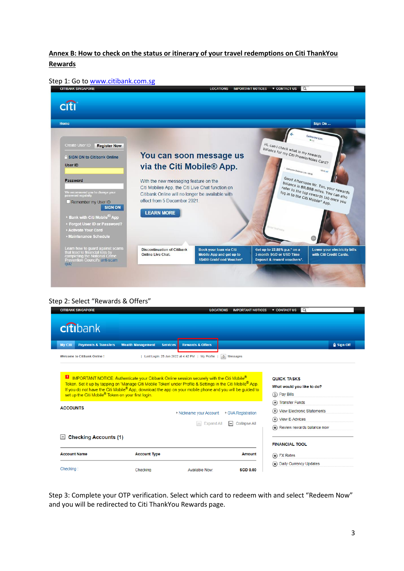### **Annex B: How to check on the status or itinerary of your travel redemptions on Citi ThankYou Rewards**

| Step 1: Go to www.citibank.com.sg |  |  |
|-----------------------------------|--|--|
|-----------------------------------|--|--|



Step 2: Select "Rewards & Offers"

| citibank                                                  |                                                                                                                 |                                                                                                                         |                            |                                                                    |
|-----------------------------------------------------------|-----------------------------------------------------------------------------------------------------------------|-------------------------------------------------------------------------------------------------------------------------|----------------------------|--------------------------------------------------------------------|
| <b>Payments &amp; Transfers</b><br><b>My Citi</b>         | <b>Wealth Management</b><br><b>Services</b>                                                                     | <b>Rewards &amp; Offers</b>                                                                                             |                            | <b>Q</b> Sign Off                                                  |
| <b>Welcome to Citibank Online!</b>                        |                                                                                                                 | Last Login: 25 Jan 2022 at 4:42 PM   My Profile                                                                         | 0 Messages                 |                                                                    |
|                                                           | <b>E</b> IMPORTANT NOTICE: Authenticate your Citibank Online session securely with the Citi Mobile <sup>®</sup> |                                                                                                                         |                            | <b>QUICK TASKS</b>                                                 |
| set up the Citi Mobile® Token on your first login.        | If you do not have the Citi Mobile® App, download the app on your mobile phone and you will be guided to        | Token. Set it up by tapping on 'Manage Citi Mobile Token' under Profile & Settings in the Citi Mobile <sup>®</sup> App. |                            | What would you like to do?<br>(\$) Pay Bills<br>(+) Transfer Funds |
|                                                           |                                                                                                                 | Nickname your Account                                                                                                   | GVA Registration           | (+) View Electronic Statements<br>(+) View E-Advices               |
|                                                           |                                                                                                                 | <b>Expand All</b><br>$\rightarrow$                                                                                      | <b>Collapse All</b><br>$=$ | Review rewards balance now                                         |
| <b>Checking Accounts (1)</b>                              |                                                                                                                 |                                                                                                                         |                            | <b>FINANCIAL TOOL</b>                                              |
| <b>ACCOUNTS</b><br>$\vert - \vert$<br><b>Account Name</b> | <b>Account Type</b>                                                                                             |                                                                                                                         | Amount                     | $(*)$ FX Rates                                                     |

Step 3: Complete your OTP verification. Select which card to redeem with and select "Redeem Now" and you will be redirected to Citi ThankYou Rewards page.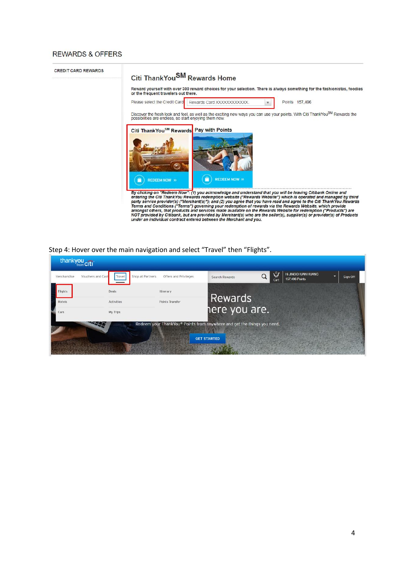#### **REWARDS & OFFERS**

**CREDIT CARD REWARDS** 

### Citi ThankYou<sup>SM</sup> Rewards Home

Reward yourself with over 300 reward choices for your selection. There is always something for the fashionistas, foodies<br>or the frequent travelers out there.

 $\boldsymbol{\mathrm{v}}$ 

Points 157,496

Discover the fresh look and feel, as well as the exciting new ways you can use your points. With Citi ThankYou<sup>SM</sup> Rewards the possibilities are endless, so start enjoying them now.

Rewards Card XXXXXXXXXXXX.



By clicking on "Redeem Now": (1) you acknowledge and understand that you will be leaving Citibank Online and<br>entering the Citi ThankYou Rewards redemption website ("Rewards Website") which is operated and managed by third<br>

#### Step 4: Hover over the main navigation and select "Travel" then "Flights".

Please select the Credit Card

| thankyou cit<br>Merchandise | Shop at Partners<br>Vouchers and Cash<br>Travel | Offers and Privileges | Search Rewards                                                          | $\vec{\mathbf{r}}$<br>Q<br>Cart | <b>Hi JINGCHUAN HUANG</b><br>o<br>157,496 Points | Sign Off |
|-----------------------------|-------------------------------------------------|-----------------------|-------------------------------------------------------------------------|---------------------------------|--------------------------------------------------|----------|
| <b>Flights</b>              | Deals                                           | Itinerary             |                                                                         |                                 |                                                  |          |
| Hotels                      | Activities                                      | Points Transfer       | <b>Rewards</b>                                                          |                                 |                                                  |          |
| Cars                        | My Trips                                        |                       | here you are.                                                           |                                 |                                                  |          |
|                             |                                                 |                       | Redeem your ThankYou® Points from anywhere and get the things you need. |                                 |                                                  |          |
|                             |                                                 |                       | <b>GET STARTED</b>                                                      |                                 |                                                  |          |
|                             |                                                 |                       |                                                                         |                                 |                                                  |          |